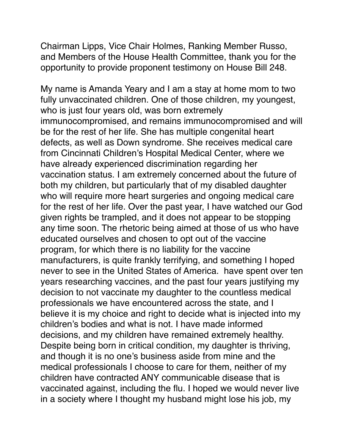Chairman Lipps, Vice Chair Holmes, Ranking Member Russo, and Members of the House Health Committee, thank you for the opportunity to provide proponent testimony on House Bill 248.

My name is Amanda Yeary and I am a stay at home mom to two fully unvaccinated children. One of those children, my youngest, who is just four years old, was born extremely immunocompromised, and remains immunocompromised and will be for the rest of her life. She has multiple congenital heart defects, as well as Down syndrome. She receives medical care from Cincinnati Children's Hospital Medical Center, where we have already experienced discrimination regarding her vaccination status. I am extremely concerned about the future of both my children, but particularly that of my disabled daughter who will require more heart surgeries and ongoing medical care for the rest of her life. Over the past year, I have watched our God given rights be trampled, and it does not appear to be stopping any time soon. The rhetoric being aimed at those of us who have educated ourselves and chosen to opt out of the vaccine program, for which there is no liability for the vaccine manufacturers, is quite frankly terrifying, and something I hoped never to see in the United States of America. have spent over ten years researching vaccines, and the past four years justifying my decision to not vaccinate my daughter to the countless medical professionals we have encountered across the state, and I believe it is my choice and right to decide what is injected into my children's bodies and what is not. I have made informed decisions, and my children have remained extremely healthy. Despite being born in critical condition, my daughter is thriving, and though it is no one's business aside from mine and the medical professionals I choose to care for them, neither of my children have contracted ANY communicable disease that is vaccinated against, including the flu. I hoped we would never live in a society where I thought my husband might lose his job, my